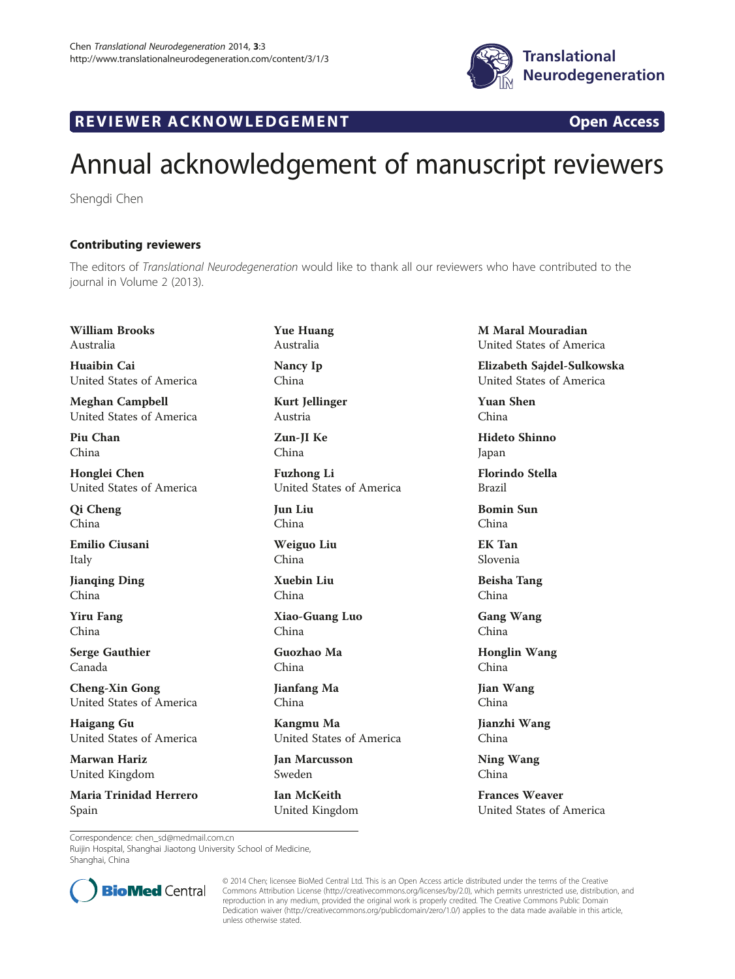

## R EVI EW E R ACKNOW L EDG EM EN T Open Access

## Annual acknowledgement of manuscript reviewers

Shengdi Chen

## Contributing reviewers

The editors of Translational Neurodegeneration would like to thank all our reviewers who have contributed to the journal in Volume 2 (2013).

William Brooks Australia

Huaibin Cai United States of America

Meghan Campbell United States of America

Piu Chan China

Honglei Chen United States of America

Qi Cheng China

Emilio Ciusani Italy

Jianqing Ding China

Yiru Fang China

Serge Gauthier Canada

Cheng-Xin Gong United States of America

Haigang Gu United States of America

Marwan Hariz United Kingdom

Maria Trinidad Herrero Spain

Yue Huang Australia

Nancy Ip China

Kurt Jellinger Austria

Zun-JI Ke China

Fuzhong Li United States of America

Jun Liu China

Weiguo Liu China

Xuebin Liu China

Xiao-Guang Luo China

Guozhao Ma China

Jianfang Ma China

Kangmu Ma United States of America

Jan Marcusson Sweden

Ian McKeith United Kingdom

M Maral Mouradian United States of America

Elizabeth Sajdel-Sulkowska United States of America

Yuan Shen China

Hideto Shinno Japan

Florindo Stella Brazil

Bomin Sun China

EK Tan Slovenia

Beisha Tang China

Gang Wang China

Honglin Wang China

Jian Wang China

Jianzhi Wang China

Ning Wang China

Frances Weaver United States of America

Correspondence: [chen\\_sd@medmail.com.cn](mailto:chen_sd@medmail.com.cn)

Ruijin Hospital, Shanghai Jiaotong University School of Medicine, Shanghai, China



© 2014 Chen; licensee BioMed Central Ltd. This is an Open Access article distributed under the terms of the Creative Commons Attribution License [\(http://creativecommons.org/licenses/by/2.0\)](http://creativecommons.org/licenses/by/2.0), which permits unrestricted use, distribution, and reproduction in any medium, provided the original work is properly credited. The Creative Commons Public Domain Dedication waiver [\(http://creativecommons.org/publicdomain/zero/1.0/](http://creativecommons.org/publicdomain/zero/1.0/)) applies to the data made available in this article, unless otherwise stated.